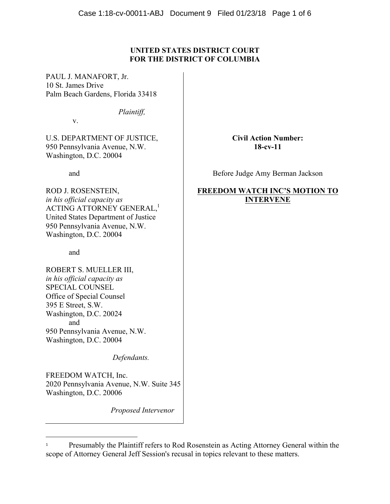## **UNITED STATES DISTRICT COURT FOR THE DISTRICT OF COLUMBIA**

PAUL J. MANAFORT, Jr. 10 St. James Drive Palm Beach Gardens, Florida 33418

*Plaintiff,*

v.

U.S. DEPARTMENT OF JUSTICE, 950 Pennsylvania Avenue, N.W. Washington, D.C. 20004

and

ROD J. ROSENSTEIN, *in his official capacity as*  ACTING ATTORNEY GENERAL,<sup>1</sup> United States Department of Justice 950 Pennsylvania Avenue, N.W. Washington, D.C. 20004

and

ROBERT S. MUELLER III, *in his official capacity as*  SPECIAL COUNSEL Office of Special Counsel 395 E Street, S.W. Washington, D.C. 20024 and 950 Pennsylvania Avenue, N.W. Washington, D.C. 20004

 

 *Defendants.* 

FREEDOM WATCH, Inc. 2020 Pennsylvania Avenue, N.W. Suite 345 Washington, D.C. 20006

 *Proposed Intervenor*

# **Civil Action Number: 18-cv-11**

Before Judge Amy Berman Jackson

# **FREEDOM WATCH INC'S MOTION TO INTERVENE**

<sup>&</sup>lt;sup>1</sup> Presumably the Plaintiff refers to Rod Rosenstein as Acting Attorney General within the scope of Attorney General Jeff Session's recusal in topics relevant to these matters.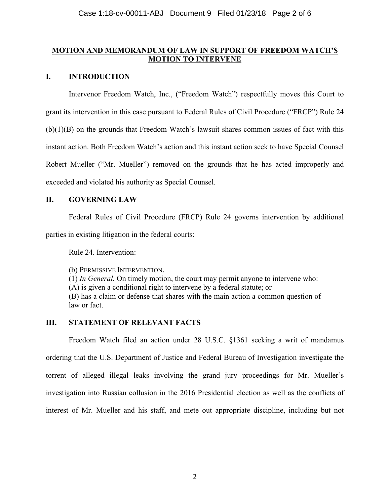### **MOTION AND MEMORANDUM OF LAW IN SUPPORT OF FREEDOM WATCH'S MOTION TO INTERVENE**

## **I. INTRODUCTION**

Intervenor Freedom Watch, Inc., ("Freedom Watch") respectfully moves this Court to grant its intervention in this case pursuant to Federal Rules of Civil Procedure ("FRCP") Rule 24 (b)(1)(B) on the grounds that Freedom Watch's lawsuit shares common issues of fact with this instant action. Both Freedom Watch's action and this instant action seek to have Special Counsel Robert Mueller ("Mr. Mueller") removed on the grounds that he has acted improperly and exceeded and violated his authority as Special Counsel.

## **II. GOVERNING LAW**

Federal Rules of Civil Procedure (FRCP) Rule 24 governs intervention by additional parties in existing litigation in the federal courts:

Rule 24. Intervention:

(b) PERMISSIVE INTERVENTION. (1) *In General.* On timely motion, the court may permit anyone to intervene who: (A) is given a conditional right to intervene by a federal statute; or (B) has a claim or defense that shares with the main action a common question of law or fact.

## **III. STATEMENT OF RELEVANT FACTS**

Freedom Watch filed an action under 28 U.S.C. §1361 seeking a writ of mandamus ordering that the U.S. Department of Justice and Federal Bureau of Investigation investigate the torrent of alleged illegal leaks involving the grand jury proceedings for Mr. Mueller's investigation into Russian collusion in the 2016 Presidential election as well as the conflicts of interest of Mr. Mueller and his staff, and mete out appropriate discipline, including but not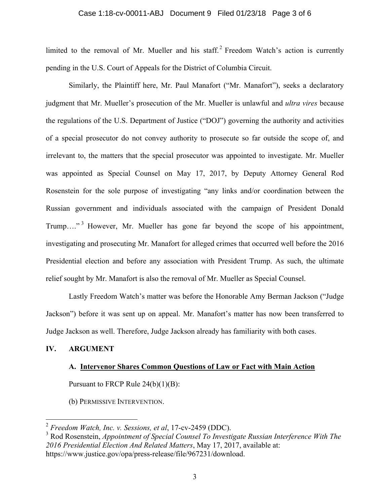#### Case 1:18-cv-00011-ABJ Document 9 Filed 01/23/18 Page 3 of 6

limited to the removal of Mr. Mueller and his staff.<sup>2</sup> Freedom Watch's action is currently pending in the U.S. Court of Appeals for the District of Columbia Circuit.

Similarly, the Plaintiff here, Mr. Paul Manafort ("Mr. Manafort"), seeks a declaratory judgment that Mr. Mueller's prosecution of the Mr. Mueller is unlawful and *ultra vires* because the regulations of the U.S. Department of Justice ("DOJ") governing the authority and activities of a special prosecutor do not convey authority to prosecute so far outside the scope of, and irrelevant to, the matters that the special prosecutor was appointed to investigate. Mr. Mueller was appointed as Special Counsel on May 17, 2017, by Deputy Attorney General Rod Rosenstein for the sole purpose of investigating "any links and/or coordination between the Russian government and individuals associated with the campaign of President Donald Trump...."<sup>3</sup> However, Mr. Mueller has gone far beyond the scope of his appointment, investigating and prosecuting Mr. Manafort for alleged crimes that occurred well before the 2016 Presidential election and before any association with President Trump. As such, the ultimate relief sought by Mr. Manafort is also the removal of Mr. Mueller as Special Counsel.

Lastly Freedom Watch's matter was before the Honorable Amy Berman Jackson ("Judge Jackson") before it was sent up on appeal. Mr. Manafort's matter has now been transferred to Judge Jackson as well. Therefore, Judge Jackson already has familiarity with both cases.

### **IV. ARGUMENT**

#### **A. Intervenor Shares Common Questions of Law or Fact with Main Action**

Pursuant to FRCP Rule 24(b)(1)(B):

(b) PERMISSIVE INTERVENTION.

 <sup>2</sup> *Freedom Watch, Inc. v. Sessions, et al*, 17-cv-2459 (DDC).

<sup>3</sup> Rod Rosenstein, *Appointment of Special Counsel To Investigate Russian Interference With The 2016 Presidential Election And Related Matters*, May 17, 2017, available at: https://www.justice.gov/opa/press-release/file/967231/download.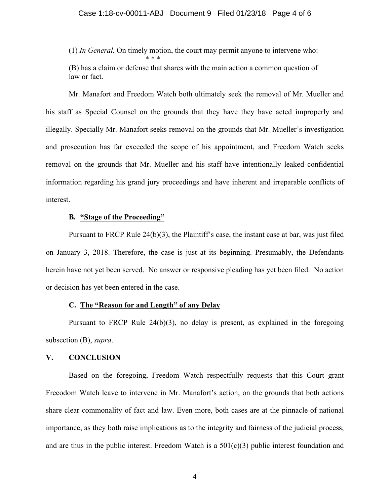(1) *In General.* On timely motion, the court may permit anyone to intervene who: \* \* \*

(B) has a claim or defense that shares with the main action a common question of law or fact.

Mr. Manafort and Freedom Watch both ultimately seek the removal of Mr. Mueller and his staff as Special Counsel on the grounds that they have they have acted improperly and illegally. Specially Mr. Manafort seeks removal on the grounds that Mr. Mueller's investigation and prosecution has far exceeded the scope of his appointment, and Freedom Watch seeks removal on the grounds that Mr. Mueller and his staff have intentionally leaked confidential information regarding his grand jury proceedings and have inherent and irreparable conflicts of interest.

### **B. "Stage of the Proceeding"**

Pursuant to FRCP Rule 24(b)(3), the Plaintiff's case, the instant case at bar, was just filed on January 3, 2018. Therefore, the case is just at its beginning. Presumably, the Defendants herein have not yet been served. No answer or responsive pleading has yet been filed. No action or decision has yet been entered in the case.

### **C. The "Reason for and Length" of any Delay**

Pursuant to FRCP Rule 24(b)(3), no delay is present, as explained in the foregoing subsection (B), *supra*.

### **V. CONCLUSION**

Based on the foregoing, Freedom Watch respectfully requests that this Court grant Freeodom Watch leave to intervene in Mr. Manafort's action, on the grounds that both actions share clear commonality of fact and law. Even more, both cases are at the pinnacle of national importance, as they both raise implications as to the integrity and fairness of the judicial process, and are thus in the public interest. Freedom Watch is a  $501(c)(3)$  public interest foundation and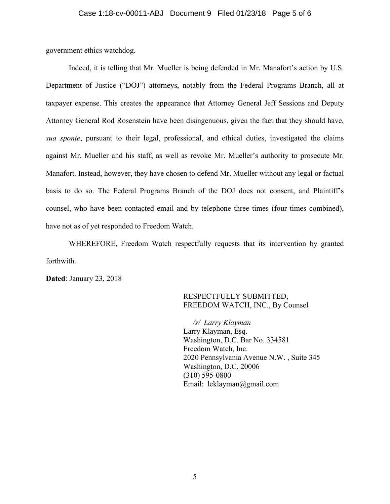government ethics watchdog.

Indeed, it is telling that Mr. Mueller is being defended in Mr. Manafort's action by U.S. Department of Justice ("DOJ") attorneys, notably from the Federal Programs Branch, all at taxpayer expense. This creates the appearance that Attorney General Jeff Sessions and Deputy Attorney General Rod Rosenstein have been disingenuous, given the fact that they should have, *sua sponte*, pursuant to their legal, professional, and ethical duties, investigated the claims against Mr. Mueller and his staff, as well as revoke Mr. Mueller's authority to prosecute Mr. Manafort. Instead, however, they have chosen to defend Mr. Mueller without any legal or factual basis to do so. The Federal Programs Branch of the DOJ does not consent, and Plaintiff's counsel, who have been contacted email and by telephone three times (four times combined), have not as of yet responded to Freedom Watch.

WHEREFORE, Freedom Watch respectfully requests that its intervention by granted forthwith.

**Dated**: January 23, 2018

### RESPECTFULLY SUBMITTED, FREEDOM WATCH, INC., By Counsel

 */s/ Larry Klayman* Larry Klayman, Esq. Washington, D.C. Bar No. 334581 Freedom Watch, Inc. 2020 Pennsylvania Avenue N.W. , Suite 345 Washington, D.C. 20006 (310) 595-0800 Email: leklayman@gmail.com